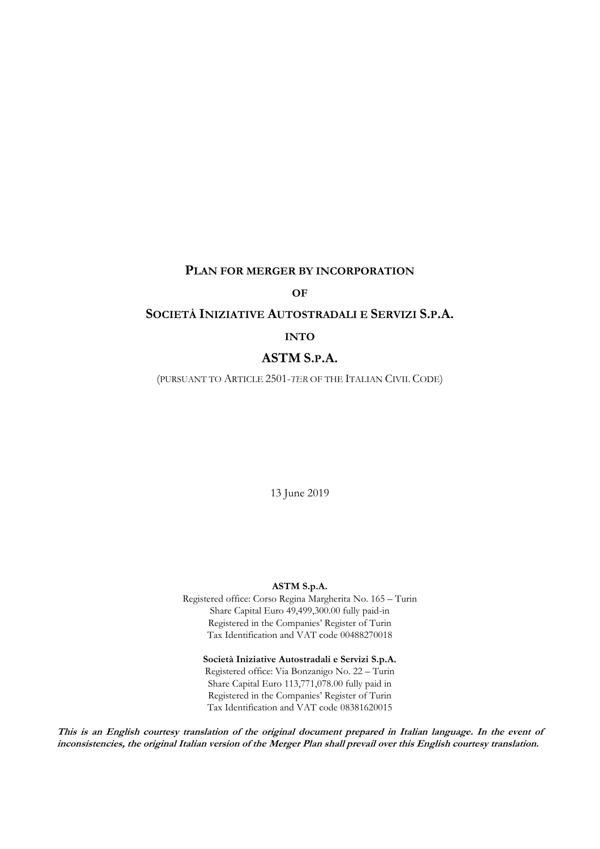## **PLAN FOR MERGER BY INCORPORATION**

## **OF**

#### **SOCIETÀ INIZIATIVE AUTOSTRADALI E SERVIZI S.P.A.**

#### **INTO**

## **ASTM S.P.A.**

(PURSUANT TO ARTICLE 2501-*TER* OF THE ITALIAN CIVIL CODE)

13 June 2019

#### **ASTM S.p.A.**

Registered office: Corso Regina Margherita No. 165 – Turin Share Capital Euro 49,499,300.00 fully paid-in Registered in the Companies' Register of Turin Tax Identification and VAT code 00488270018

**Società Iniziative Autostradali e Servizi S.p.A.** Registered office: Via Bonzanigo No. 22 – Turin Share Capital Euro 113,771,078.00 fully paid in Registered in the Companies' Register of Turin Tax Identification and VAT code 08381620015

**This is an English courtesy translation of the original document prepared in Italian language. In the event of inconsistencies, the original Italian version of the Merger Plan shall prevail over this English courtesy translation.**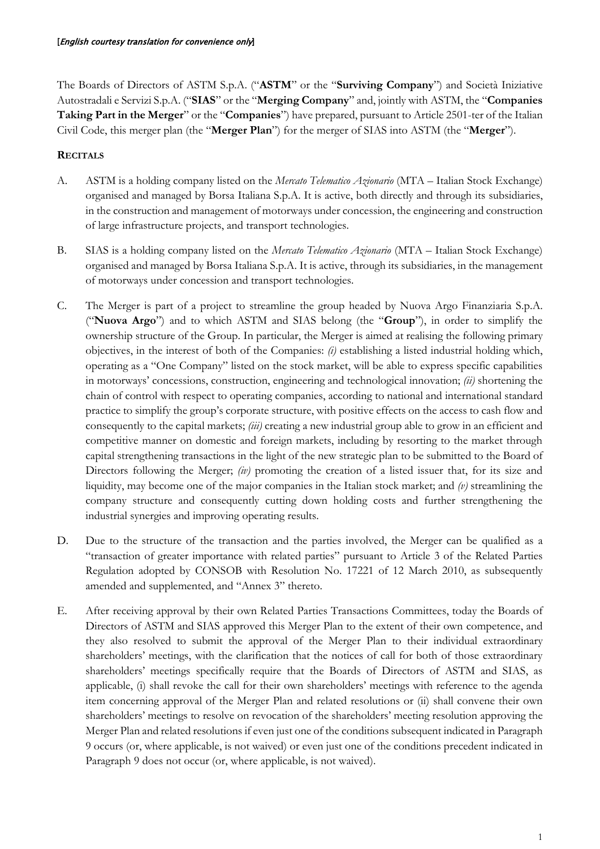The Boards of Directors of ASTM S.p.A. ("**ASTM**" or the "**Surviving Company**") and Società Iniziative Autostradali e Servizi S.p.A. ("**SIAS**" or the "**Merging Company**" and, jointly with ASTM, the "**Companies Taking Part in the Merger**" or the "**Companies**") have prepared, pursuant to Article 2501-ter of the Italian Civil Code, this merger plan (the "**Merger Plan**") for the merger of SIAS into ASTM (the "**Merger**").

## **RECITALS**

- A. ASTM is a holding company listed on the *Mercato Telematico Azionario* (MTA Italian Stock Exchange) organised and managed by Borsa Italiana S.p.A. It is active, both directly and through its subsidiaries, in the construction and management of motorways under concession, the engineering and construction of large infrastructure projects, and transport technologies.
- B. SIAS is a holding company listed on the *Mercato Telematico Azionario* (MTA Italian Stock Exchange) organised and managed by Borsa Italiana S.p.A. It is active, through its subsidiaries, in the management of motorways under concession and transport technologies.
- C. The Merger is part of a project to streamline the group headed by Nuova Argo Finanziaria S.p.A. ("**Nuova Argo**") and to which ASTM and SIAS belong (the "**Group**"), in order to simplify the ownership structure of the Group. In particular, the Merger is aimed at realising the following primary objectives, in the interest of both of the Companies: *(i)* establishing a listed industrial holding which, operating as a "One Company" listed on the stock market, will be able to express specific capabilities in motorways' concessions, construction, engineering and technological innovation; *(ii)* shortening the chain of control with respect to operating companies, according to national and international standard practice to simplify the group's corporate structure, with positive effects on the access to cash flow and consequently to the capital markets; *(iii)* creating a new industrial group able to grow in an efficient and competitive manner on domestic and foreign markets, including by resorting to the market through capital strengthening transactions in the light of the new strategic plan to be submitted to the Board of Directors following the Merger; *(iv)* promoting the creation of a listed issuer that, for its size and liquidity, may become one of the major companies in the Italian stock market; and *(v)* streamlining the company structure and consequently cutting down holding costs and further strengthening the industrial synergies and improving operating results.
- D. Due to the structure of the transaction and the parties involved, the Merger can be qualified as a "transaction of greater importance with related parties" pursuant to Article 3 of the Related Parties Regulation adopted by CONSOB with Resolution No. 17221 of 12 March 2010, as subsequently amended and supplemented, and "Annex 3" thereto.
- E. After receiving approval by their own Related Parties Transactions Committees, today the Boards of Directors of ASTM and SIAS approved this Merger Plan to the extent of their own competence, and they also resolved to submit the approval of the Merger Plan to their individual extraordinary shareholders' meetings, with the clarification that the notices of call for both of those extraordinary shareholders' meetings specifically require that the Boards of Directors of ASTM and SIAS, as applicable, (i) shall revoke the call for their own shareholders' meetings with reference to the agenda item concerning approval of the Merger Plan and related resolutions or (ii) shall convene their own shareholders' meetings to resolve on revocation of the shareholders' meeting resolution approving the Merger Plan and related resolutions if even just one of the conditions subsequent indicated in Paragraph [9](#page-5-0) occurs (or, where applicable, is not waived) or even just one of the conditions precedent indicated in Paragraph [9](#page-5-0) does not occur (or, where applicable, is not waived).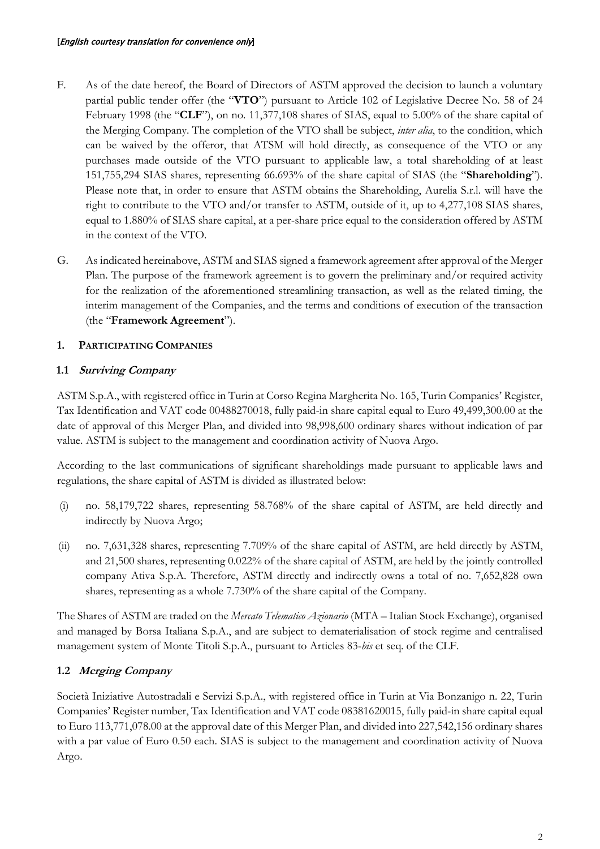- F. As of the date hereof, the Board of Directors of ASTM approved the decision to launch a voluntary partial public tender offer (the "**VTO**") pursuant to Article 102 of Legislative Decree No. 58 of 24 February 1998 (the "**CLF**"), on no. 11,377,108 shares of SIAS, equal to 5.00% of the share capital of the Merging Company. The completion of the VTO shall be subject, *inter alia*, to the condition, which can be waived by the offeror, that ATSM will hold directly, as consequence of the VTO or any purchases made outside of the VTO pursuant to applicable law, a total shareholding of at least 151,755,294 SIAS shares, representing 66.693% of the share capital of SIAS (the "**Shareholding**"). Please note that, in order to ensure that ASTM obtains the Shareholding, Aurelia S.r.l. will have the right to contribute to the VTO and/or transfer to ASTM, outside of it, up to 4,277,108 SIAS shares, equal to 1.880% of SIAS share capital, at a per-share price equal to the consideration offered by ASTM in the context of the VTO.
- G. As indicated hereinabove, ASTM and SIAS signed a framework agreement after approval of the Merger Plan. The purpose of the framework agreement is to govern the preliminary and/or required activity for the realization of the aforementioned streamlining transaction, as well as the related timing, the interim management of the Companies, and the terms and conditions of execution of the transaction (the "**Framework Agreement**").

# **1. PARTICIPATING COMPANIES**

# **1.1 Surviving Company**

ASTM S.p.A., with registered office in Turin at Corso Regina Margherita No. 165, Turin Companies' Register, Tax Identification and VAT code 00488270018, fully paid-in share capital equal to Euro 49,499,300.00 at the date of approval of this Merger Plan, and divided into 98,998,600 ordinary shares without indication of par value. ASTM is subject to the management and coordination activity of Nuova Argo.

According to the last communications of significant shareholdings made pursuant to applicable laws and regulations, the share capital of ASTM is divided as illustrated below:

- (i) no. 58,179,722 shares, representing 58.768% of the share capital of ASTM, are held directly and indirectly by Nuova Argo;
- (ii) no. 7,631,328 shares, representing 7.709% of the share capital of ASTM, are held directly by ASTM, and 21,500 shares, representing 0.022% of the share capital of ASTM, are held by the jointly controlled company Ativa S.p.A. Therefore, ASTM directly and indirectly owns a total of no. 7,652,828 own shares, representing as a whole 7.730% of the share capital of the Company.

The Shares of ASTM are traded on the *Mercato Telematico Azionario* (MTA – Italian Stock Exchange), organised and managed by Borsa Italiana S.p.A., and are subject to dematerialisation of stock regime and centralised management system of Monte Titoli S.p.A., pursuant to Articles 83-*bis* et seq. of the CLF.

# **1.2 Merging Company**

Società Iniziative Autostradali e Servizi S.p.A., with registered office in Turin at Via Bonzanigo n. 22, Turin Companies' Register number, Tax Identification and VAT code 08381620015, fully paid-in share capital equal to Euro 113,771,078.00 at the approval date of this Merger Plan, and divided into 227,542,156 ordinary shares with a par value of Euro 0.50 each. SIAS is subject to the management and coordination activity of Nuova Argo.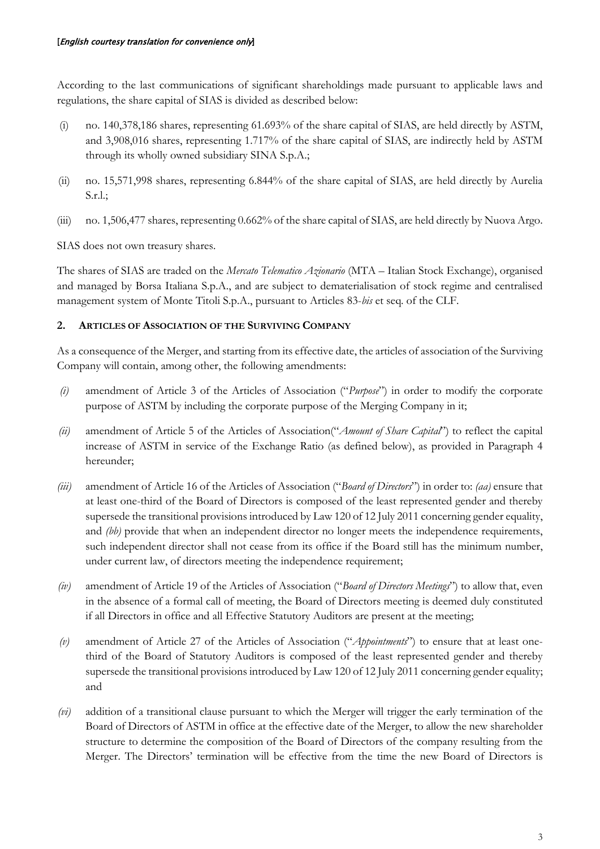According to the last communications of significant shareholdings made pursuant to applicable laws and regulations, the share capital of SIAS is divided as described below:

- (i) no. 140,378,186 shares, representing 61.693% of the share capital of SIAS, are held directly by ASTM, and 3,908,016 shares, representing 1.717% of the share capital of SIAS, are indirectly held by ASTM through its wholly owned subsidiary SINA S.p.A.;
- (ii) no. 15,571,998 shares, representing 6.844% of the share capital of SIAS, are held directly by Aurelia S.r.l.;
- (iii) no. 1,506,477 shares, representing 0.662% of the share capital of SIAS, are held directly by Nuova Argo.

SIAS does not own treasury shares.

The shares of SIAS are traded on the *Mercato Telematico Azionario* (MTA – Italian Stock Exchange), organised and managed by Borsa Italiana S.p.A., and are subject to dematerialisation of stock regime and centralised management system of Monte Titoli S.p.A., pursuant to Articles 83-*bis* et seq. of the CLF.

# **2. ARTICLES OF ASSOCIATION OF THE SURVIVING COMPANY**

As a consequence of the Merger, and starting from its effective date, the articles of association of the Surviving Company will contain, among other, the following amendments:

- *(i)* amendment of Article 3 of the Articles of Association ("*Purpose*") in order to modify the corporate purpose of ASTM by including the corporate purpose of the Merging Company in it;
- *(ii)* amendment of Article 5 of the Articles of Association("*Amount of Share Capital*") to reflect the capital increase of ASTM in service of the Exchange Ratio (as defined below), as provided in Paragraph [4](#page-4-0) hereunder;
- *(iii)* amendment of Article 16 of the Articles of Association ("*Board of Directors*") in order to: *(aa)* ensure that at least one-third of the Board of Directors is composed of the least represented gender and thereby supersede the transitional provisions introduced by Law 120 of 12 July 2011 concerning gender equality, and *(bb)* provide that when an independent director no longer meets the independence requirements, such independent director shall not cease from its office if the Board still has the minimum number, under current law, of directors meeting the independence requirement;
- *(iv)* amendment of Article 19 of the Articles of Association ("*Board of Directors Meetings*") to allow that, even in the absence of a formal call of meeting, the Board of Directors meeting is deemed duly constituted if all Directors in office and all Effective Statutory Auditors are present at the meeting;
- *(v)* amendment of Article 27 of the Articles of Association ("*Appointments*") to ensure that at least onethird of the Board of Statutory Auditors is composed of the least represented gender and thereby supersede the transitional provisions introduced by Law 120 of 12 July 2011 concerning gender equality; and
- *(vi)* addition of a transitional clause pursuant to which the Merger will trigger the early termination of the Board of Directors of ASTM in office at the effective date of the Merger, to allow the new shareholder structure to determine the composition of the Board of Directors of the company resulting from the Merger. The Directors' termination will be effective from the time the new Board of Directors is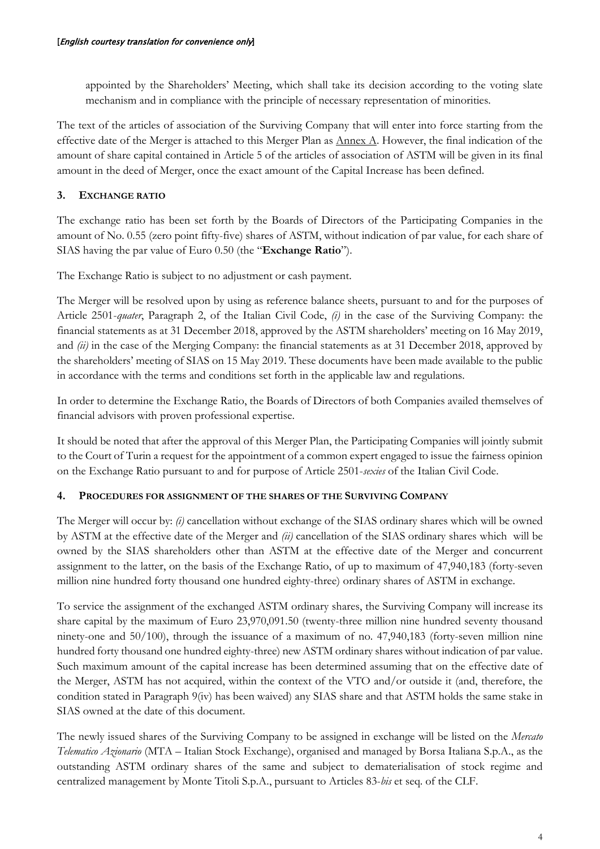appointed by the Shareholders' Meeting, which shall take its decision according to the voting slate mechanism and in compliance with the principle of necessary representation of minorities.

The text of the articles of association of the Surviving Company that will enter into force starting from the effective date of the Merger is attached to this Merger Plan as Annex A. However, the final indication of the amount of share capital contained in Article 5 of the articles of association of ASTM will be given in its final amount in the deed of Merger, once the exact amount of the Capital Increase has been defined.

# **3. EXCHANGE RATIO**

The exchange ratio has been set forth by the Boards of Directors of the Participating Companies in the amount of No. 0.55 (zero point fifty-five) shares of ASTM, without indication of par value, for each share of SIAS having the par value of Euro 0.50 (the "**Exchange Ratio**").

The Exchange Ratio is subject to no adjustment or cash payment.

The Merger will be resolved upon by using as reference balance sheets, pursuant to and for the purposes of Article 2501-*quater*, Paragraph 2, of the Italian Civil Code, *(i)* in the case of the Surviving Company: the financial statements as at 31 December 2018, approved by the ASTM shareholders' meeting on 16 May 2019, and *(ii)* in the case of the Merging Company: the financial statements as at 31 December 2018, approved by the shareholders' meeting of SIAS on 15 May 2019. These documents have been made available to the public in accordance with the terms and conditions set forth in the applicable law and regulations.

In order to determine the Exchange Ratio, the Boards of Directors of both Companies availed themselves of financial advisors with proven professional expertise.

It should be noted that after the approval of this Merger Plan, the Participating Companies will jointly submit to the Court of Turin a request for the appointment of a common expert engaged to issue the fairness opinion on the Exchange Ratio pursuant to and for purpose of Article 2501-*sexies* of the Italian Civil Code.

## <span id="page-4-0"></span>**4. PROCEDURES FOR ASSIGNMENT OF THE SHARES OF THE SURVIVING COMPANY**

The Merger will occur by: *(i)* cancellation without exchange of the SIAS ordinary shares which will be owned by ASTM at the effective date of the Merger and *(ii)* cancellation of the SIAS ordinary shares which will be owned by the SIAS shareholders other than ASTM at the effective date of the Merger and concurrent assignment to the latter, on the basis of the Exchange Ratio, of up to maximum of 47,940,183 (forty-seven million nine hundred forty thousand one hundred eighty-three) ordinary shares of ASTM in exchange.

To service the assignment of the exchanged ASTM ordinary shares, the Surviving Company will increase its share capital by the maximum of Euro 23,970,091.50 (twenty-three million nine hundred seventy thousand ninety-one and 50/100), through the issuance of a maximum of no. 47,940,183 (forty-seven million nine hundred forty thousand one hundred eighty-three) new ASTM ordinary shares without indication of par value. Such maximum amount of the capital increase has been determined assuming that on the effective date of the Merger, ASTM has not acquired, within the context of the VTO and/or outside it (and, therefore, the condition stated in Paragraph 9(iv) has been waived) any SIAS share and that ASTM holds the same stake in SIAS owned at the date of this document.

The newly issued shares of the Surviving Company to be assigned in exchange will be listed on the *Mercato Telematico Azionario* (MTA – Italian Stock Exchange), organised and managed by Borsa Italiana S.p.A., as the outstanding ASTM ordinary shares of the same and subject to dematerialisation of stock regime and centralized management by Monte Titoli S.p.A., pursuant to Articles 83-*bis* et seq. of the CLF.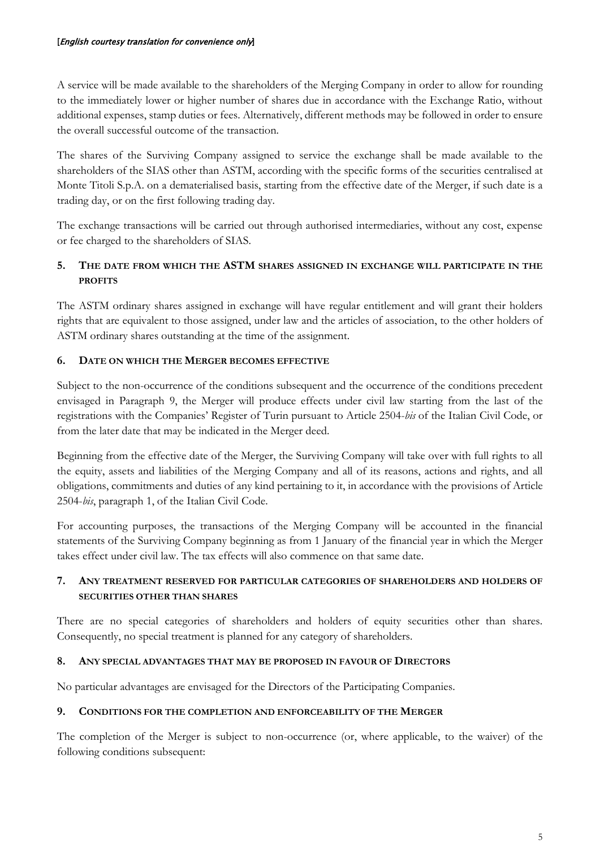A service will be made available to the shareholders of the Merging Company in order to allow for rounding to the immediately lower or higher number of shares due in accordance with the Exchange Ratio, without additional expenses, stamp duties or fees. Alternatively, different methods may be followed in order to ensure the overall successful outcome of the transaction.

The shares of the Surviving Company assigned to service the exchange shall be made available to the shareholders of the SIAS other than ASTM, according with the specific forms of the securities centralised at Monte Titoli S.p.A. on a dematerialised basis, starting from the effective date of the Merger, if such date is a trading day, or on the first following trading day.

The exchange transactions will be carried out through authorised intermediaries, without any cost, expense or fee charged to the shareholders of SIAS.

# **5. THE DATE FROM WHICH THE ASTM SHARES ASSIGNED IN EXCHANGE WILL PARTICIPATE IN THE PROFITS**

The ASTM ordinary shares assigned in exchange will have regular entitlement and will grant their holders rights that are equivalent to those assigned, under law and the articles of association, to the other holders of ASTM ordinary shares outstanding at the time of the assignment.

# **6. DATE ON WHICH THE MERGER BECOMES EFFECTIVE**

Subject to the non-occurrence of the conditions subsequent and the occurrence of the conditions precedent envisaged in Paragraph [9,](#page-5-0) the Merger will produce effects under civil law starting from the last of the registrations with the Companies' Register of Turin pursuant to Article 2504-*bis* of the Italian Civil Code, or from the later date that may be indicated in the Merger deed.

Beginning from the effective date of the Merger, the Surviving Company will take over with full rights to all the equity, assets and liabilities of the Merging Company and all of its reasons, actions and rights, and all obligations, commitments and duties of any kind pertaining to it, in accordance with the provisions of Article 2504-*bis*, paragraph 1, of the Italian Civil Code.

For accounting purposes, the transactions of the Merging Company will be accounted in the financial statements of the Surviving Company beginning as from 1 January of the financial year in which the Merger takes effect under civil law. The tax effects will also commence on that same date.

# **7. ANY TREATMENT RESERVED FOR PARTICULAR CATEGORIES OF SHAREHOLDERS AND HOLDERS OF SECURITIES OTHER THAN SHARES**

There are no special categories of shareholders and holders of equity securities other than shares. Consequently, no special treatment is planned for any category of shareholders.

## **8. ANY SPECIAL ADVANTAGES THAT MAY BE PROPOSED IN FAVOUR OF DIRECTORS**

No particular advantages are envisaged for the Directors of the Participating Companies.

## <span id="page-5-0"></span>**9. CONDITIONS FOR THE COMPLETION AND ENFORCEABILITY OF THE MERGER**

The completion of the Merger is subject to non-occurrence (or, where applicable, to the waiver) of the following conditions subsequent: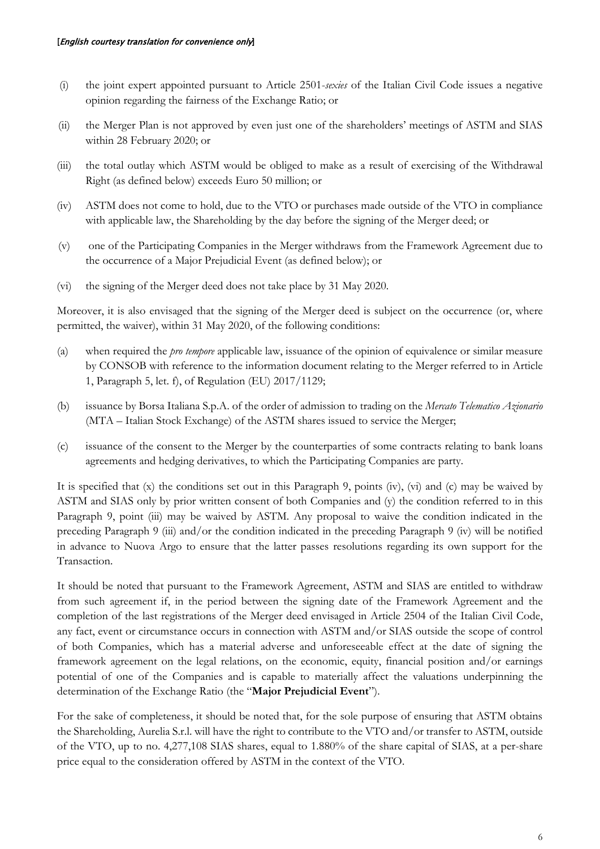- (i) the joint expert appointed pursuant to Article 2501-*sexies* of the Italian Civil Code issues a negative opinion regarding the fairness of the Exchange Ratio; or
- (ii) the Merger Plan is not approved by even just one of the shareholders' meetings of ASTM and SIAS within 28 February 2020; or
- <span id="page-6-1"></span>(iii) the total outlay which ASTM would be obliged to make as a result of exercising of the Withdrawal Right (as defined below) exceeds Euro 50 million; or
- (iv) ASTM does not come to hold, due to the VTO or purchases made outside of the VTO in compliance with applicable law, the Shareholding by the day before the signing of the Merger deed; or
- (v) one of the Participating Companies in the Merger withdraws from the Framework Agreement due to the occurrence of a Major Prejudicial Event (as defined below); or
- (vi) the signing of the Merger deed does not take place by 31 May 2020.

Moreover, it is also envisaged that the signing of the Merger deed is subject on the occurrence (or, where permitted, the waiver), within 31 May 2020, of the following conditions:

- (a) when required the *pro tempore* applicable law, issuance of the opinion of equivalence or similar measure by CONSOB with reference to the information document relating to the Merger referred to in Article 1, Paragraph 5, let. f), of Regulation (EU) 2017/1129;
- (b) issuance by Borsa Italiana S.p.A. of the order of admission to trading on the *Mercato Telematico Azionario* (MTA – Italian Stock Exchange) of the ASTM shares issued to service the Merger;
- <span id="page-6-0"></span>(c) issuance of the consent to the Merger by the counterparties of some contracts relating to bank loans agreements and hedging derivatives, to which the Participating Companies are party.

It is specified that (x) the conditions set out in this Paragraph [9,](#page-5-0) points (iv), (vi) and [\(c\)](#page-6-0) may be waived by ASTM and SIAS only by prior written consent of both Companies and (y) the condition referred to in this Paragraph [9,](#page-5-0) point [\(iii\)](#page-6-1) may be waived by ASTM. Any proposal to waive the condition indicated in the preceding Paragraph 9 (iii) and/or the condition indicated in the preceding Paragraph 9 (iv) will be notified in advance to Nuova Argo to ensure that the latter passes resolutions regarding its own support for the Transaction.

It should be noted that pursuant to the Framework Agreement, ASTM and SIAS are entitled to withdraw from such agreement if, in the period between the signing date of the Framework Agreement and the completion of the last registrations of the Merger deed envisaged in Article 2504 of the Italian Civil Code, any fact, event or circumstance occurs in connection with ASTM and/or SIAS outside the scope of control of both Companies, which has a material adverse and unforeseeable effect at the date of signing the framework agreement on the legal relations, on the economic, equity, financial position and/or earnings potential of one of the Companies and is capable to materially affect the valuations underpinning the determination of the Exchange Ratio (the "**Major Prejudicial Event**").

For the sake of completeness, it should be noted that, for the sole purpose of ensuring that ASTM obtains the Shareholding, Aurelia S.r.l. will have the right to contribute to the VTO and/or transfer to ASTM, outside of the VTO, up to no. 4,277,108 SIAS shares, equal to 1.880% of the share capital of SIAS, at a per-share price equal to the consideration offered by ASTM in the context of the VTO.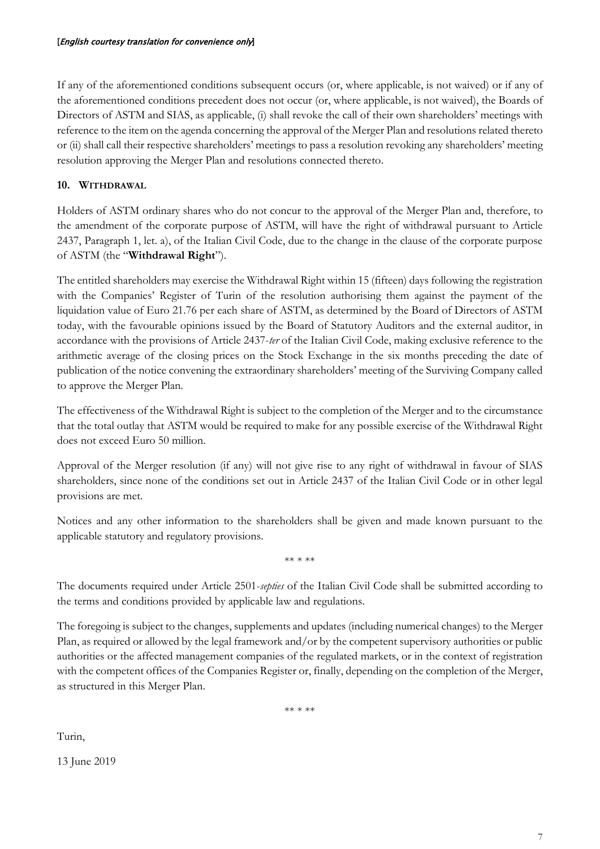If any of the aforementioned conditions subsequent occurs (or, where applicable, is not waived) or if any of the aforementioned conditions precedent does not occur (or, where applicable, is not waived), the Boards of Directors of ASTM and SIAS, as applicable, (i) shall revoke the call of their own shareholders' meetings with reference to the item on the agenda concerning the approval of the Merger Plan and resolutions related thereto or (ii) shall call their respective shareholders' meetings to pass a resolution revoking any shareholders' meeting resolution approving the Merger Plan and resolutions connected thereto.

## **10. WITHDRAWAL**

Holders of ASTM ordinary shares who do not concur to the approval of the Merger Plan and, therefore, to the amendment of the corporate purpose of ASTM, will have the right of withdrawal pursuant to Article 2437, Paragraph 1, let. a), of the Italian Civil Code, due to the change in the clause of the corporate purpose of ASTM (the "**Withdrawal Right**").

The entitled shareholders may exercise the Withdrawal Right within 15 (fifteen) days following the registration with the Companies' Register of Turin of the resolution authorising them against the payment of the liquidation value of Euro 21.76 per each share of ASTM, as determined by the Board of Directors of ASTM today, with the favourable opinions issued by the Board of Statutory Auditors and the external auditor, in accordance with the provisions of Article 2437-*ter* of the Italian Civil Code, making exclusive reference to the arithmetic average of the closing prices on the Stock Exchange in the six months preceding the date of publication of the notice convening the extraordinary shareholders' meeting of the Surviving Company called to approve the Merger Plan.

The effectiveness of the Withdrawal Right is subject to the completion of the Merger and to the circumstance that the total outlay that ASTM would be required to make for any possible exercise of the Withdrawal Right does not exceed Euro 50 million.

Approval of the Merger resolution (if any) will not give rise to any right of withdrawal in favour of SIAS shareholders, since none of the conditions set out in Article 2437 of the Italian Civil Code or in other legal provisions are met.

Notices and any other information to the shareholders shall be given and made known pursuant to the applicable statutory and regulatory provisions.

\*\* \* \*\*

The documents required under Article 2501-*septies* of the Italian Civil Code shall be submitted according to the terms and conditions provided by applicable law and regulations.

The foregoing is subject to the changes, supplements and updates (including numerical changes) to the Merger Plan, as required or allowed by the legal framework and/or by the competent supervisory authorities or public authorities or the affected management companies of the regulated markets, or in the context of registration with the competent offices of the Companies Register or, finally, depending on the completion of the Merger, as structured in this Merger Plan.

\*\* \* \*\*

Turin,

13 June 2019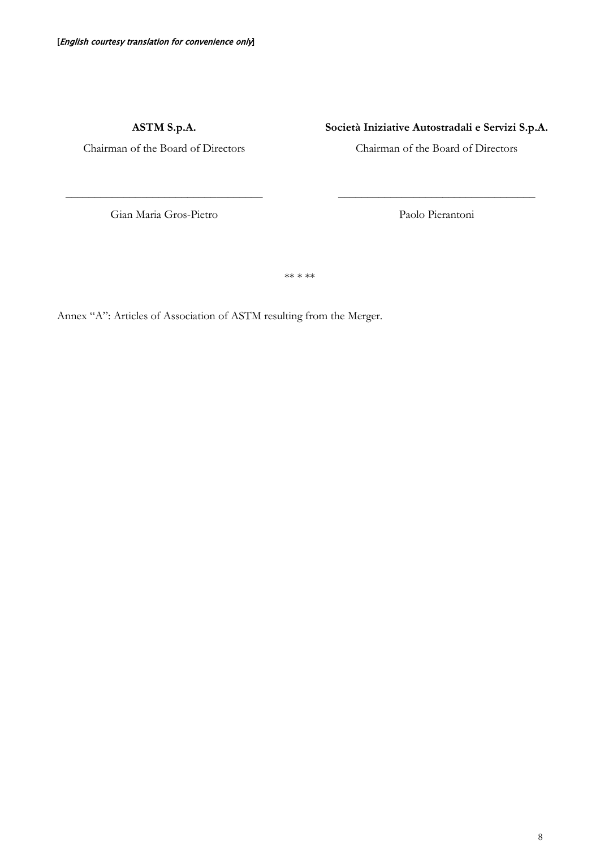**ASTM S.p.A.**

Chairman of the Board of Directors

**Società Iniziative Autostradali e Servizi S.p.A.**

Chairman of the Board of Directors

Gian Maria Gros-Pietro

\_\_\_\_\_\_\_\_\_\_\_\_\_\_\_\_\_\_\_\_\_\_\_\_\_\_\_\_\_\_\_\_\_\_

Paolo Pierantoni

\_\_\_\_\_\_\_\_\_\_\_\_\_\_\_\_\_\_\_\_\_\_\_\_\_\_\_\_\_\_\_\_\_\_

\*\* \* \*\*

Annex "A": Articles of Association of ASTM resulting from the Merger.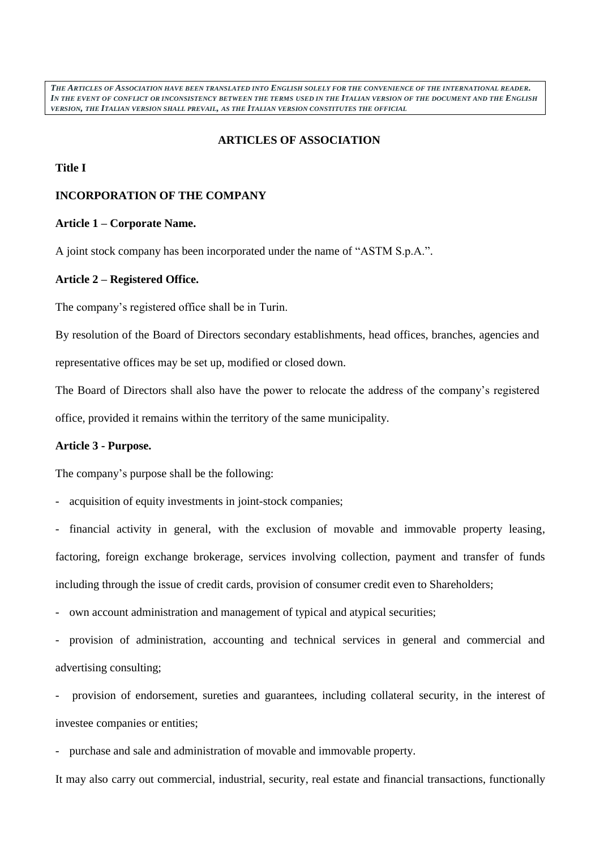*THE ARTICLES OF ASSOCIATION HAVE BEEN TRANSLATED INTO ENGLISH SOLELY FOR THE CONVENIENCE OF THE INTERNATIONAL READER.*  IN THE EVENT OF CONFLICT OR INCONSISTENCY BETWEEN THE TERMS USED IN THE ITALIAN VERSION OF THE DOCUMENT AND THE ENGLISH *VERSION, THE ITALIAN VERSION SHALL PREVAIL, AS THE ITALIAN VERSION CONSTITUTES THE OFFICIAL*

## **ARTICLES OF ASSOCIATION**

#### **Title I**

## **INCORPORATION OF THE COMPANY**

#### **Article 1 – Corporate Name.**

A joint stock company has been incorporated under the name of "ASTM S.p.A.".

### **Article 2 – Registered Office.**

The company's registered office shall be in Turin.

By resolution of the Board of Directors secondary establishments, head offices, branches, agencies and representative offices may be set up, modified or closed down.

The Board of Directors shall also have the power to relocate the address of the company's registered office, provided it remains within the territory of the same municipality.

## **Article 3 - Purpose.**

The company's purpose shall be the following:

acquisition of equity investments in joint-stock companies;

financial activity in general, with the exclusion of movable and immovable property leasing, factoring, foreign exchange brokerage, services involving collection, payment and transfer of funds including through the issue of credit cards, provision of consumer credit even to Shareholders;

own account administration and management of typical and atypical securities;

provision of administration, accounting and technical services in general and commercial and advertising consulting;

provision of endorsement, sureties and guarantees, including collateral security, in the interest of investee companies or entities;

- purchase and sale and administration of movable and immovable property.

It may also carry out commercial, industrial, security, real estate and financial transactions, functionally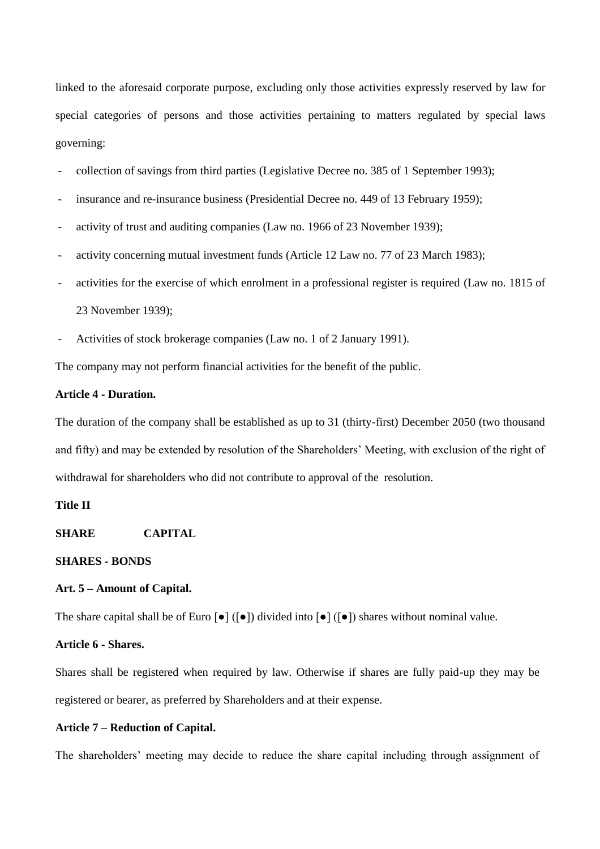linked to the aforesaid corporate purpose, excluding only those activities expressly reserved by law for special categories of persons and those activities pertaining to matters regulated by special laws governing:

- collection of savings from third parties (Legislative Decree no. 385 of 1 September 1993);
- insurance and re-insurance business (Presidential Decree no. 449 of 13 February 1959);
- activity of trust and auditing companies (Law no. 1966 of 23 November 1939);
- activity concerning mutual investment funds (Article 12 Law no. 77 of 23 March 1983);
- activities for the exercise of which enrolment in a professional register is required (Law no. 1815 of 23 November 1939);
- Activities of stock brokerage companies (Law no. 1 of 2 January 1991).

The company may not perform financial activities for the benefit of the public.

## **Article 4 - Duration.**

The duration of the company shall be established as up to 31 (thirty-first) December 2050 (two thousand and fifty) and may be extended by resolution of the Shareholders' Meeting, with exclusion of the right of withdrawal for shareholders who did not contribute to approval of the resolution.

## **Title II**

**SHARE CAPITAL** 

#### **SHARES - BONDS**

### **Art. 5 – Amount of Capital.**

The share capital shall be of Euro  $\lceil \bullet \rceil$  ( $\lceil \bullet \rceil$ ) divided into  $\lceil \bullet \rceil$  ( $\lceil \bullet \rceil$ ) shares without nominal value.

#### **Article 6 - Shares.**

Shares shall be registered when required by law. Otherwise if shares are fully paid-up they may be registered or bearer, as preferred by Shareholders and at their expense.

#### **Article 7 – Reduction of Capital.**

The shareholders' meeting may decide to reduce the share capital including through assignment of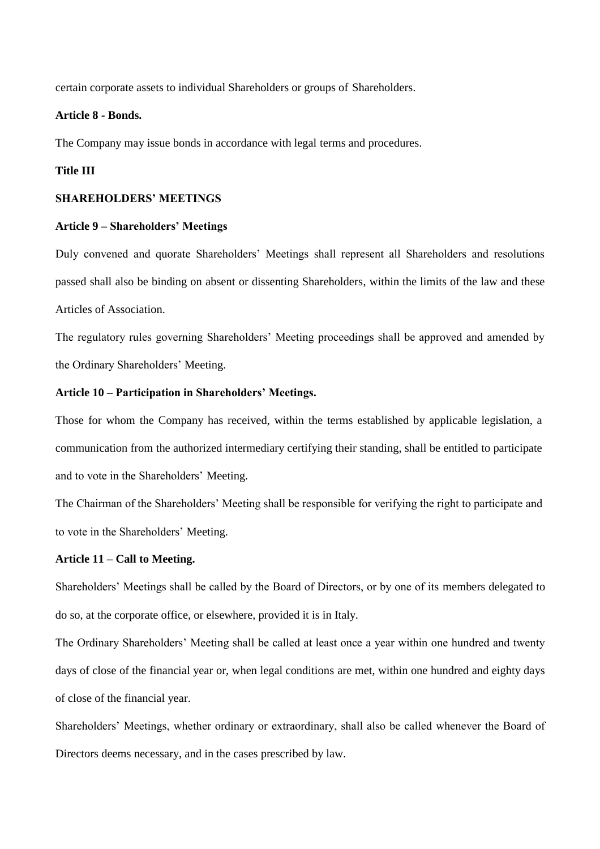certain corporate assets to individual Shareholders or groups of Shareholders.

### **Article 8 - Bonds.**

The Company may issue bonds in accordance with legal terms and procedures.

## **Title III**

#### **SHAREHOLDERS' MEETINGS**

#### **Article 9 – Shareholders' Meetings**

Duly convened and quorate Shareholders' Meetings shall represent all Shareholders and resolutions passed shall also be binding on absent or dissenting Shareholders, within the limits of the law and these Articles of Association.

The regulatory rules governing Shareholders' Meeting proceedings shall be approved and amended by the Ordinary Shareholders' Meeting.

### **Article 10 – Participation in Shareholders' Meetings.**

Those for whom the Company has received, within the terms established by applicable legislation, a communication from the authorized intermediary certifying their standing, shall be entitled to participate and to vote in the Shareholders' Meeting.

The Chairman of the Shareholders' Meeting shall be responsible for verifying the right to participate and to vote in the Shareholders' Meeting.

## **Article 11 – Call to Meeting.**

Shareholders' Meetings shall be called by the Board of Directors, or by one of its members delegated to do so, at the corporate office, or elsewhere, provided it is in Italy.

The Ordinary Shareholders' Meeting shall be called at least once a year within one hundred and twenty days of close of the financial year or, when legal conditions are met, within one hundred and eighty days of close of the financial year.

Shareholders' Meetings, whether ordinary or extraordinary, shall also be called whenever the Board of Directors deems necessary, and in the cases prescribed by law.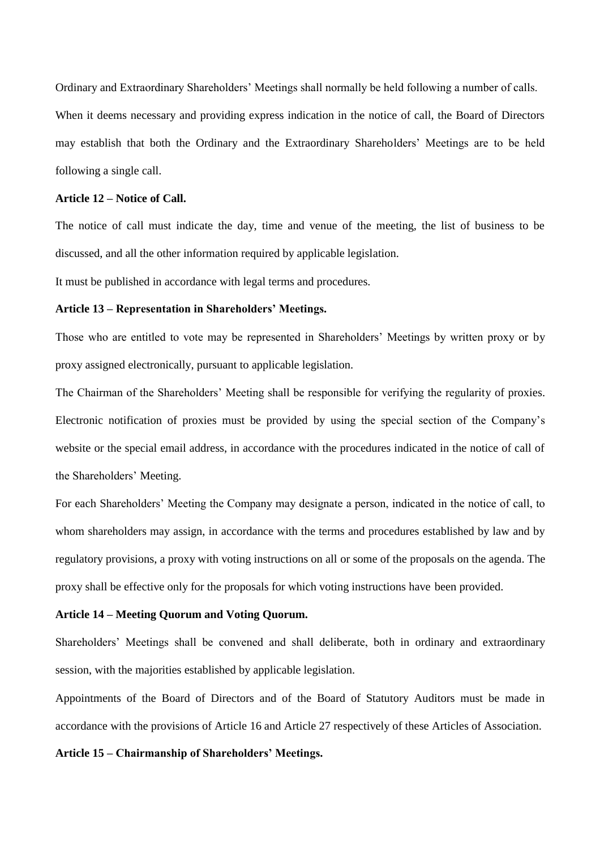Ordinary and Extraordinary Shareholders' Meetings shall normally be held following a number of calls. When it deems necessary and providing express indication in the notice of call, the Board of Directors may establish that both the Ordinary and the Extraordinary Shareholders' Meetings are to be held following a single call.

### **Article 12 – Notice of Call.**

The notice of call must indicate the day, time and venue of the meeting, the list of business to be discussed, and all the other information required by applicable legislation.

It must be published in accordance with legal terms and procedures.

### **Article 13 – Representation in Shareholders' Meetings.**

Those who are entitled to vote may be represented in Shareholders' Meetings by written proxy or by proxy assigned electronically, pursuant to applicable legislation.

The Chairman of the Shareholders' Meeting shall be responsible for verifying the regularity of proxies. Electronic notification of proxies must be provided by using the special section of the Company's website or the special email address, in accordance with the procedures indicated in the notice of call of the Shareholders' Meeting.

For each Shareholders' Meeting the Company may designate a person, indicated in the notice of call, to whom shareholders may assign, in accordance with the terms and procedures established by law and by regulatory provisions, a proxy with voting instructions on all or some of the proposals on the agenda. The proxy shall be effective only for the proposals for which voting instructions have been provided.

### **Article 14 – Meeting Quorum and Voting Quorum.**

Shareholders' Meetings shall be convened and shall deliberate, both in ordinary and extraordinary session, with the majorities established by applicable legislation.

Appointments of the Board of Directors and of the Board of Statutory Auditors must be made in accordance with the provisions of Article 16 and Article 27 respectively of these Articles of Association.

### **Article 15 – Chairmanship of Shareholders' Meetings.**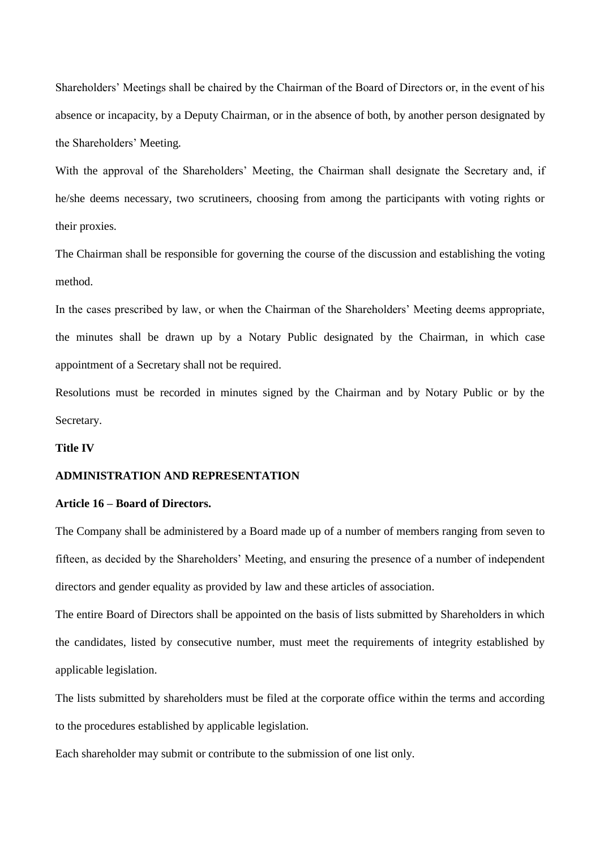Shareholders' Meetings shall be chaired by the Chairman of the Board of Directors or, in the event of his absence or incapacity, by a Deputy Chairman, or in the absence of both, by another person designated by the Shareholders' Meeting.

With the approval of the Shareholders' Meeting, the Chairman shall designate the Secretary and, if he/she deems necessary, two scrutineers, choosing from among the participants with voting rights or their proxies.

The Chairman shall be responsible for governing the course of the discussion and establishing the voting method.

In the cases prescribed by law, or when the Chairman of the Shareholders' Meeting deems appropriate, the minutes shall be drawn up by a Notary Public designated by the Chairman, in which case appointment of a Secretary shall not be required.

Resolutions must be recorded in minutes signed by the Chairman and by Notary Public or by the Secretary.

## **Title IV**

#### **ADMINISTRATION AND REPRESENTATION**

#### **Article 16 – Board of Directors.**

The Company shall be administered by a Board made up of a number of members ranging from seven to fifteen, as decided by the Shareholders' Meeting, and ensuring the presence of a number of independent directors and gender equality as provided by law and these articles of association.

The entire Board of Directors shall be appointed on the basis of lists submitted by Shareholders in which the candidates, listed by consecutive number, must meet the requirements of integrity established by applicable legislation.

The lists submitted by shareholders must be filed at the corporate office within the terms and according to the procedures established by applicable legislation.

Each shareholder may submit or contribute to the submission of one list only.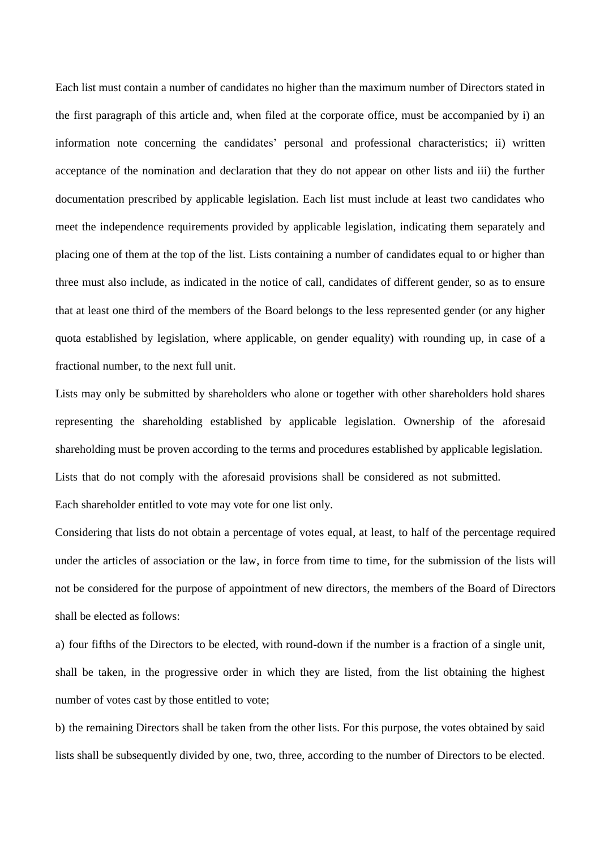Each list must contain a number of candidates no higher than the maximum number of Directors stated in the first paragraph of this article and, when filed at the corporate office, must be accompanied by i) an information note concerning the candidates' personal and professional characteristics; ii) written acceptance of the nomination and declaration that they do not appear on other lists and iii) the further documentation prescribed by applicable legislation. Each list must include at least two candidates who meet the independence requirements provided by applicable legislation, indicating them separately and placing one of them at the top of the list. Lists containing a number of candidates equal to or higher than three must also include, as indicated in the notice of call, candidates of different gender, so as to ensure that at least one third of the members of the Board belongs to the less represented gender (or any higher quota established by legislation, where applicable, on gender equality) with rounding up, in case of a fractional number, to the next full unit.

Lists may only be submitted by shareholders who alone or together with other shareholders hold shares representing the shareholding established by applicable legislation. Ownership of the aforesaid shareholding must be proven according to the terms and procedures established by applicable legislation. Lists that do not comply with the aforesaid provisions shall be considered as not submitted. Each shareholder entitled to vote may vote for one list only.

Considering that lists do not obtain a percentage of votes equal, at least, to half of the percentage required under the articles of association or the law, in force from time to time, for the submission of the lists will not be considered for the purpose of appointment of new directors, the members of the Board of Directors shall be elected as follows:

a) four fifths of the Directors to be elected, with round-down if the number is a fraction of a single unit, shall be taken, in the progressive order in which they are listed, from the list obtaining the highest number of votes cast by those entitled to vote;

b) the remaining Directors shall be taken from the other lists. For this purpose, the votes obtained by said lists shall be subsequently divided by one, two, three, according to the number of Directors to be elected.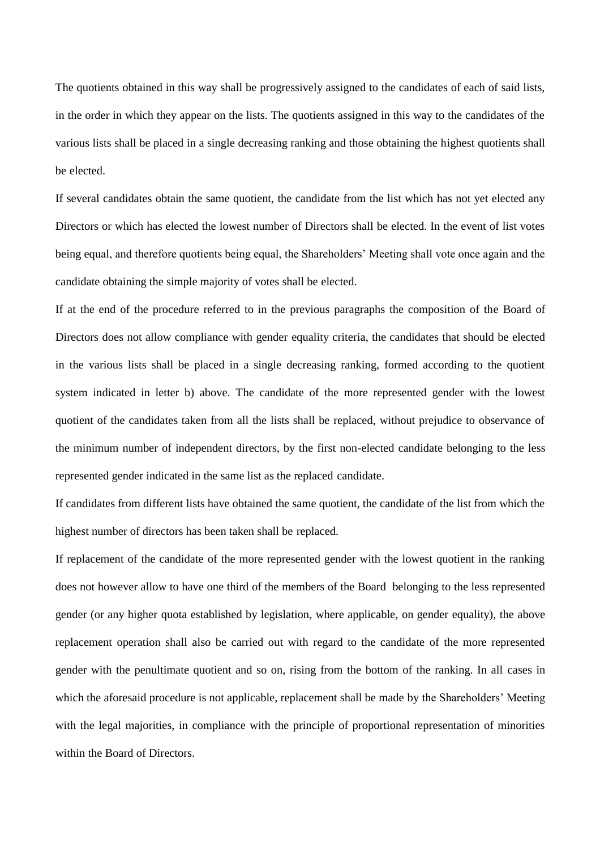The quotients obtained in this way shall be progressively assigned to the candidates of each of said lists, in the order in which they appear on the lists. The quotients assigned in this way to the candidates of the various lists shall be placed in a single decreasing ranking and those obtaining the highest quotients shall be elected.

If several candidates obtain the same quotient, the candidate from the list which has not yet elected any Directors or which has elected the lowest number of Directors shall be elected. In the event of list votes being equal, and therefore quotients being equal, the Shareholders' Meeting shall vote once again and the candidate obtaining the simple majority of votes shall be elected.

If at the end of the procedure referred to in the previous paragraphs the composition of the Board of Directors does not allow compliance with gender equality criteria, the candidates that should be elected in the various lists shall be placed in a single decreasing ranking, formed according to the quotient system indicated in letter b) above. The candidate of the more represented gender with the lowest quotient of the candidates taken from all the lists shall be replaced, without prejudice to observance of the minimum number of independent directors, by the first non-elected candidate belonging to the less represented gender indicated in the same list as the replaced candidate.

If candidates from different lists have obtained the same quotient, the candidate of the list from which the highest number of directors has been taken shall be replaced.

If replacement of the candidate of the more represented gender with the lowest quotient in the ranking does not however allow to have one third of the members of the Board belonging to the less represented gender (or any higher quota established by legislation, where applicable, on gender equality), the above replacement operation shall also be carried out with regard to the candidate of the more represented gender with the penultimate quotient and so on, rising from the bottom of the ranking. In all cases in which the aforesaid procedure is not applicable, replacement shall be made by the Shareholders' Meeting with the legal majorities, in compliance with the principle of proportional representation of minorities within the Board of Directors.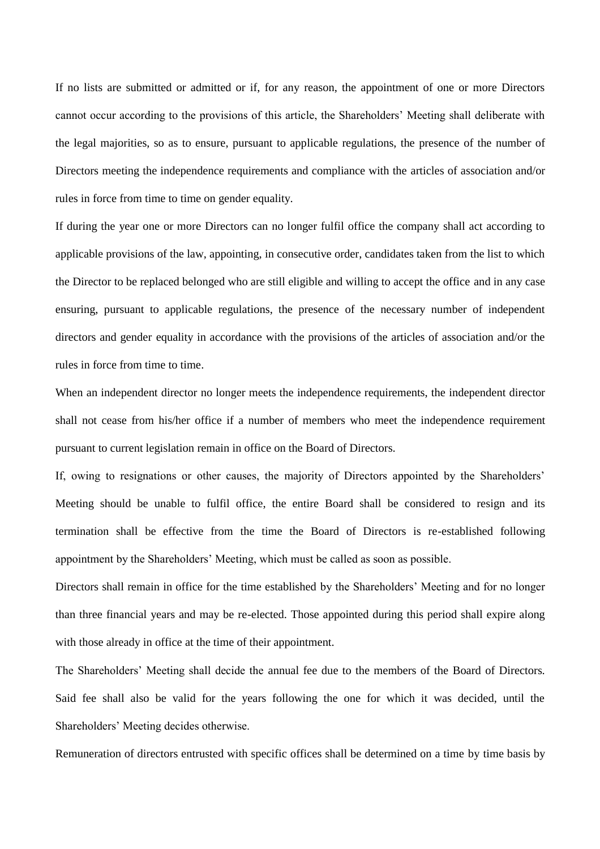If no lists are submitted or admitted or if, for any reason, the appointment of one or more Directors cannot occur according to the provisions of this article, the Shareholders' Meeting shall deliberate with the legal majorities, so as to ensure, pursuant to applicable regulations, the presence of the number of Directors meeting the independence requirements and compliance with the articles of association and/or rules in force from time to time on gender equality.

If during the year one or more Directors can no longer fulfil office the company shall act according to applicable provisions of the law, appointing, in consecutive order, candidates taken from the list to which the Director to be replaced belonged who are still eligible and willing to accept the office and in any case ensuring, pursuant to applicable regulations, the presence of the necessary number of independent directors and gender equality in accordance with the provisions of the articles of association and/or the rules in force from time to time.

When an independent director no longer meets the independence requirements, the independent director shall not cease from his/her office if a number of members who meet the independence requirement pursuant to current legislation remain in office on the Board of Directors.

If, owing to resignations or other causes, the majority of Directors appointed by the Shareholders' Meeting should be unable to fulfil office, the entire Board shall be considered to resign and its termination shall be effective from the time the Board of Directors is re-established following appointment by the Shareholders' Meeting, which must be called as soon as possible.

Directors shall remain in office for the time established by the Shareholders' Meeting and for no longer than three financial years and may be re-elected. Those appointed during this period shall expire along with those already in office at the time of their appointment.

The Shareholders' Meeting shall decide the annual fee due to the members of the Board of Directors. Said fee shall also be valid for the years following the one for which it was decided, until the Shareholders' Meeting decides otherwise.

Remuneration of directors entrusted with specific offices shall be determined on a time by time basis by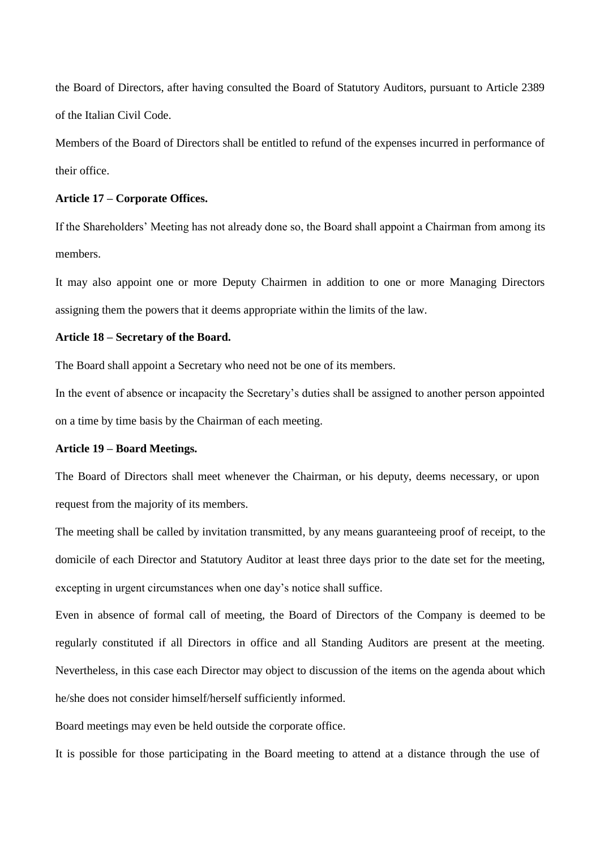the Board of Directors, after having consulted the Board of Statutory Auditors, pursuant to Article 2389 of the Italian Civil Code.

Members of the Board of Directors shall be entitled to refund of the expenses incurred in performance of their office.

### **Article 17 – Corporate Offices.**

If the Shareholders' Meeting has not already done so, the Board shall appoint a Chairman from among its members.

It may also appoint one or more Deputy Chairmen in addition to one or more Managing Directors assigning them the powers that it deems appropriate within the limits of the law.

## **Article 18 – Secretary of the Board.**

The Board shall appoint a Secretary who need not be one of its members.

In the event of absence or incapacity the Secretary's duties shall be assigned to another person appointed on a time by time basis by the Chairman of each meeting.

### **Article 19 – Board Meetings.**

The Board of Directors shall meet whenever the Chairman, or his deputy, deems necessary, or upon request from the majority of its members.

The meeting shall be called by invitation transmitted, by any means guaranteeing proof of receipt, to the domicile of each Director and Statutory Auditor at least three days prior to the date set for the meeting, excepting in urgent circumstances when one day's notice shall suffice.

Even in absence of formal call of meeting, the Board of Directors of the Company is deemed to be regularly constituted if all Directors in office and all Standing Auditors are present at the meeting. Nevertheless, in this case each Director may object to discussion of the items on the agenda about which he/she does not consider himself/herself sufficiently informed.

Board meetings may even be held outside the corporate office.

It is possible for those participating in the Board meeting to attend at a distance through the use of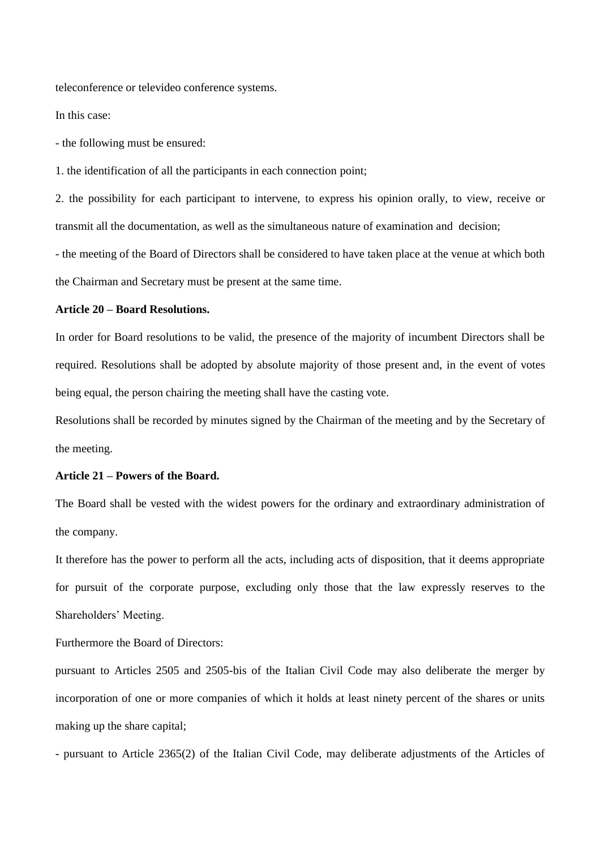teleconference or televideo conference systems.

In this case:

- the following must be ensured:

1. the identification of all the participants in each connection point;

2. the possibility for each participant to intervene, to express his opinion orally, to view, receive or transmit all the documentation, as well as the simultaneous nature of examination and decision;

- the meeting of the Board of Directors shall be considered to have taken place at the venue at which both the Chairman and Secretary must be present at the same time.

#### **Article 20 – Board Resolutions.**

In order for Board resolutions to be valid, the presence of the majority of incumbent Directors shall be required. Resolutions shall be adopted by absolute majority of those present and, in the event of votes being equal, the person chairing the meeting shall have the casting vote.

Resolutions shall be recorded by minutes signed by the Chairman of the meeting and by the Secretary of the meeting.

#### **Article 21 – Powers of the Board.**

The Board shall be vested with the widest powers for the ordinary and extraordinary administration of the company.

It therefore has the power to perform all the acts, including acts of disposition, that it deems appropriate for pursuit of the corporate purpose, excluding only those that the law expressly reserves to the Shareholders' Meeting.

Furthermore the Board of Directors:

pursuant to Articles 2505 and 2505-bis of the Italian Civil Code may also deliberate the merger by incorporation of one or more companies of which it holds at least ninety percent of the shares or units making up the share capital;

- pursuant to Article 2365(2) of the Italian Civil Code, may deliberate adjustments of the Articles of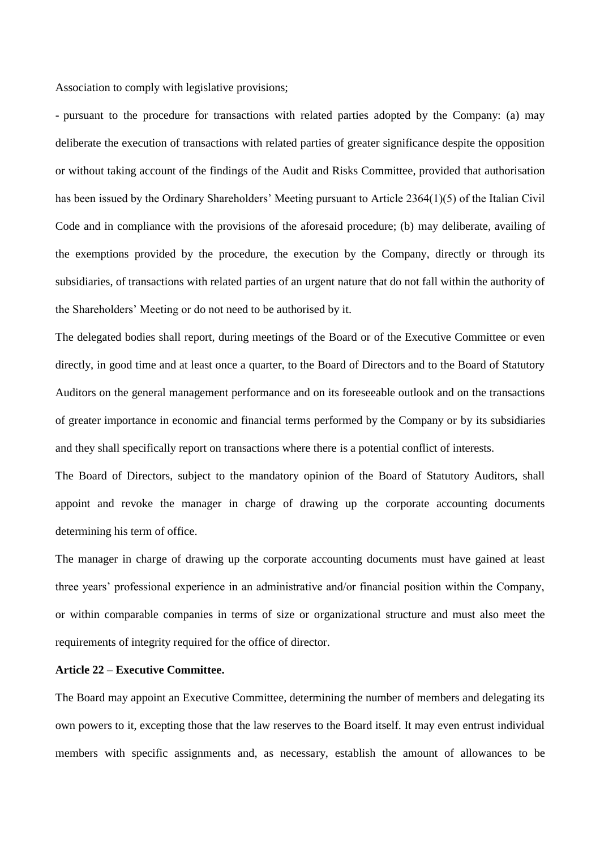Association to comply with legislative provisions;

- pursuant to the procedure for transactions with related parties adopted by the Company: (a) may deliberate the execution of transactions with related parties of greater significance despite the opposition or without taking account of the findings of the Audit and Risks Committee, provided that authorisation has been issued by the Ordinary Shareholders' Meeting pursuant to Article 2364(1)(5) of the Italian Civil Code and in compliance with the provisions of the aforesaid procedure; (b) may deliberate, availing of the exemptions provided by the procedure, the execution by the Company, directly or through its subsidiaries, of transactions with related parties of an urgent nature that do not fall within the authority of the Shareholders' Meeting or do not need to be authorised by it.

The delegated bodies shall report, during meetings of the Board or of the Executive Committee or even directly, in good time and at least once a quarter, to the Board of Directors and to the Board of Statutory Auditors on the general management performance and on its foreseeable outlook and on the transactions of greater importance in economic and financial terms performed by the Company or by its subsidiaries and they shall specifically report on transactions where there is a potential conflict of interests.

The Board of Directors, subject to the mandatory opinion of the Board of Statutory Auditors, shall appoint and revoke the manager in charge of drawing up the corporate accounting documents determining his term of office.

The manager in charge of drawing up the corporate accounting documents must have gained at least three years' professional experience in an administrative and/or financial position within the Company, or within comparable companies in terms of size or organizational structure and must also meet the requirements of integrity required for the office of director.

### **Article 22 – Executive Committee.**

The Board may appoint an Executive Committee, determining the number of members and delegating its own powers to it, excepting those that the law reserves to the Board itself. It may even entrust individual members with specific assignments and, as necessary, establish the amount of allowances to be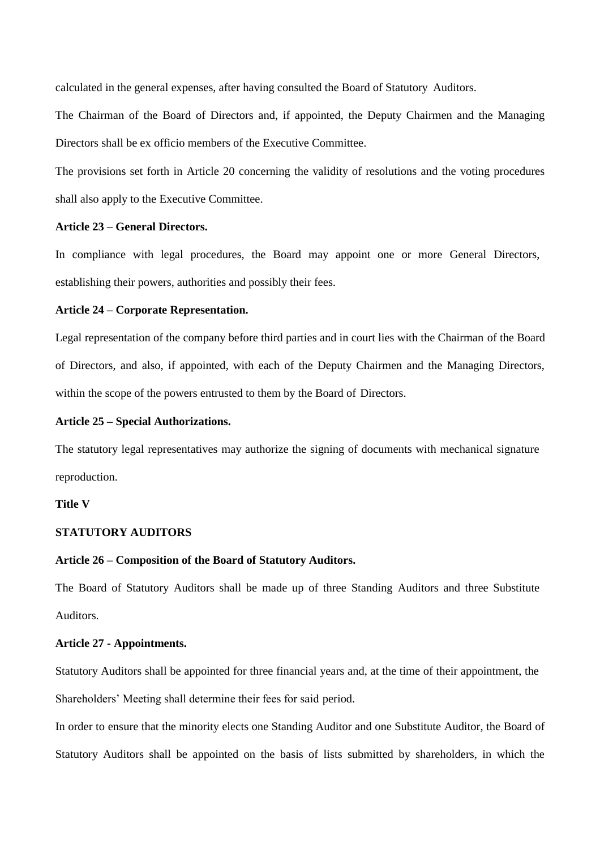calculated in the general expenses, after having consulted the Board of Statutory Auditors.

The Chairman of the Board of Directors and, if appointed, the Deputy Chairmen and the Managing Directors shall be ex officio members of the Executive Committee.

The provisions set forth in Article 20 concerning the validity of resolutions and the voting procedures shall also apply to the Executive Committee.

#### **Article 23 – General Directors.**

In compliance with legal procedures, the Board may appoint one or more General Directors, establishing their powers, authorities and possibly their fees.

### **Article 24 – Corporate Representation.**

Legal representation of the company before third parties and in court lies with the Chairman of the Board of Directors, and also, if appointed, with each of the Deputy Chairmen and the Managing Directors, within the scope of the powers entrusted to them by the Board of Directors.

#### **Article 25 – Special Authorizations.**

The statutory legal representatives may authorize the signing of documents with mechanical signature reproduction.

## **Title V**

#### **STATUTORY AUDITORS**

#### **Article 26 – Composition of the Board of Statutory Auditors.**

The Board of Statutory Auditors shall be made up of three Standing Auditors and three Substitute Auditors.

#### **Article 27 - Appointments.**

Statutory Auditors shall be appointed for three financial years and, at the time of their appointment, the Shareholders' Meeting shall determine their fees for said period.

In order to ensure that the minority elects one Standing Auditor and one Substitute Auditor, the Board of Statutory Auditors shall be appointed on the basis of lists submitted by shareholders, in which the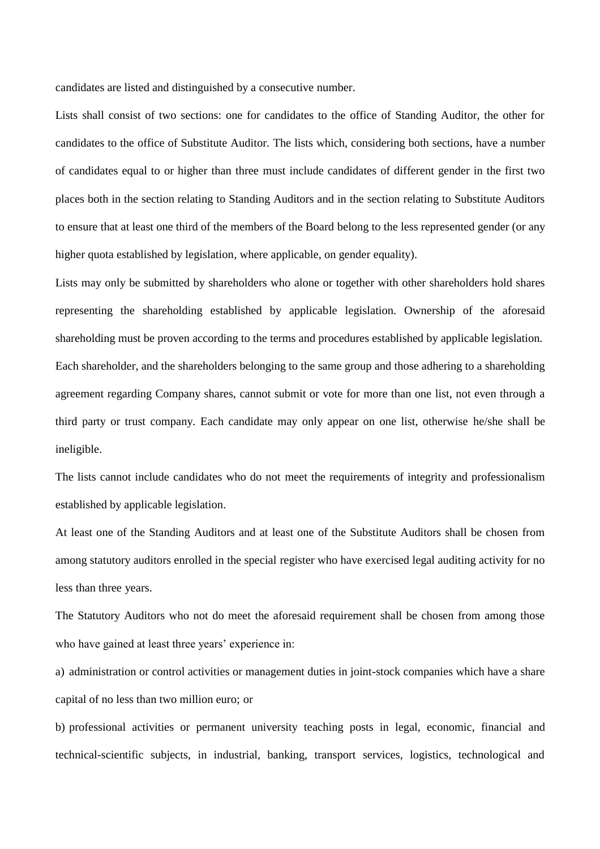candidates are listed and distinguished by a consecutive number.

Lists shall consist of two sections: one for candidates to the office of Standing Auditor, the other for candidates to the office of Substitute Auditor. The lists which, considering both sections, have a number of candidates equal to or higher than three must include candidates of different gender in the first two places both in the section relating to Standing Auditors and in the section relating to Substitute Auditors to ensure that at least one third of the members of the Board belong to the less represented gender (or any higher quota established by legislation, where applicable, on gender equality).

Lists may only be submitted by shareholders who alone or together with other shareholders hold shares representing the shareholding established by applicable legislation. Ownership of the aforesaid shareholding must be proven according to the terms and procedures established by applicable legislation. Each shareholder, and the shareholders belonging to the same group and those adhering to a shareholding agreement regarding Company shares, cannot submit or vote for more than one list, not even through a third party or trust company. Each candidate may only appear on one list, otherwise he/she shall be ineligible.

The lists cannot include candidates who do not meet the requirements of integrity and professionalism established by applicable legislation.

At least one of the Standing Auditors and at least one of the Substitute Auditors shall be chosen from among statutory auditors enrolled in the special register who have exercised legal auditing activity for no less than three years.

The Statutory Auditors who not do meet the aforesaid requirement shall be chosen from among those who have gained at least three years' experience in:

a) administration or control activities or management duties in joint-stock companies which have a share capital of no less than two million euro; or

b) professional activities or permanent university teaching posts in legal, economic, financial and technical-scientific subjects, in industrial, banking, transport services, logistics, technological and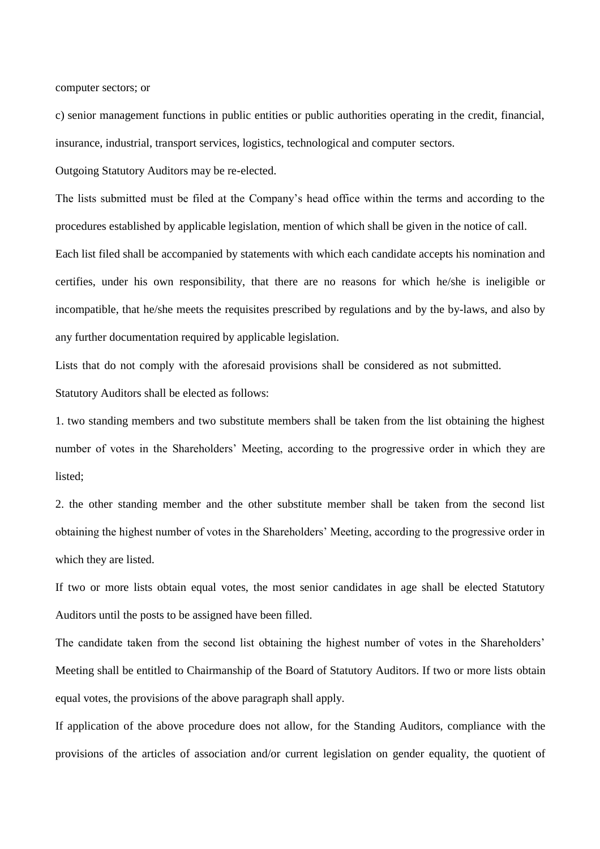computer sectors; or

c) senior management functions in public entities or public authorities operating in the credit, financial, insurance, industrial, transport services, logistics, technological and computer sectors.

Outgoing Statutory Auditors may be re-elected.

The lists submitted must be filed at the Company's head office within the terms and according to the procedures established by applicable legislation, mention of which shall be given in the notice of call.

Each list filed shall be accompanied by statements with which each candidate accepts his nomination and certifies, under his own responsibility, that there are no reasons for which he/she is ineligible or incompatible, that he/she meets the requisites prescribed by regulations and by the by-laws, and also by any further documentation required by applicable legislation.

Lists that do not comply with the aforesaid provisions shall be considered as not submitted. Statutory Auditors shall be elected as follows:

1. two standing members and two substitute members shall be taken from the list obtaining the highest number of votes in the Shareholders' Meeting, according to the progressive order in which they are listed;

2. the other standing member and the other substitute member shall be taken from the second list obtaining the highest number of votes in the Shareholders' Meeting, according to the progressive order in which they are listed.

If two or more lists obtain equal votes, the most senior candidates in age shall be elected Statutory Auditors until the posts to be assigned have been filled.

The candidate taken from the second list obtaining the highest number of votes in the Shareholders' Meeting shall be entitled to Chairmanship of the Board of Statutory Auditors. If two or more lists obtain equal votes, the provisions of the above paragraph shall apply.

If application of the above procedure does not allow, for the Standing Auditors, compliance with the provisions of the articles of association and/or current legislation on gender equality, the quotient of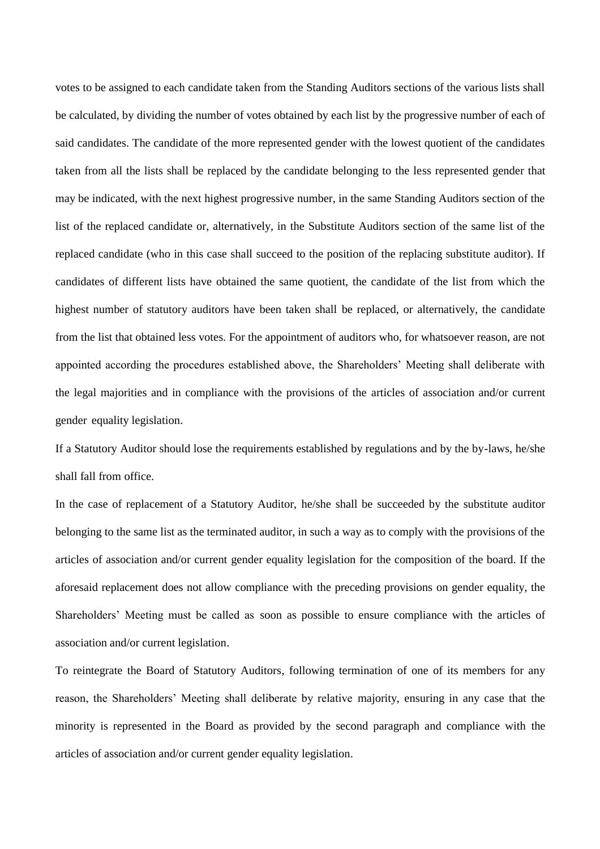votes to be assigned to each candidate taken from the Standing Auditors sections of the various lists shall be calculated, by dividing the number of votes obtained by each list by the progressive number of each of said candidates. The candidate of the more represented gender with the lowest quotient of the candidates taken from all the lists shall be replaced by the candidate belonging to the less represented gender that may be indicated, with the next highest progressive number, in the same Standing Auditors section of the list of the replaced candidate or, alternatively, in the Substitute Auditors section of the same list of the replaced candidate (who in this case shall succeed to the position of the replacing substitute auditor). If candidates of different lists have obtained the same quotient, the candidate of the list from which the highest number of statutory auditors have been taken shall be replaced, or alternatively, the candidate from the list that obtained less votes. For the appointment of auditors who, for whatsoever reason, are not appointed according the procedures established above, the Shareholders' Meeting shall deliberate with the legal majorities and in compliance with the provisions of the articles of association and/or current gender equality legislation.

If a Statutory Auditor should lose the requirements established by regulations and by the by-laws, he/she shall fall from office.

In the case of replacement of a Statutory Auditor, he/she shall be succeeded by the substitute auditor belonging to the same list as the terminated auditor, in such a way as to comply with the provisions of the articles of association and/or current gender equality legislation for the composition of the board. If the aforesaid replacement does not allow compliance with the preceding provisions on gender equality, the Shareholders' Meeting must be called as soon as possible to ensure compliance with the articles of association and/or current legislation.

To reintegrate the Board of Statutory Auditors, following termination of one of its members for any reason, the Shareholders' Meeting shall deliberate by relative majority, ensuring in any case that the minority is represented in the Board as provided by the second paragraph and compliance with the articles of association and/or current gender equality legislation.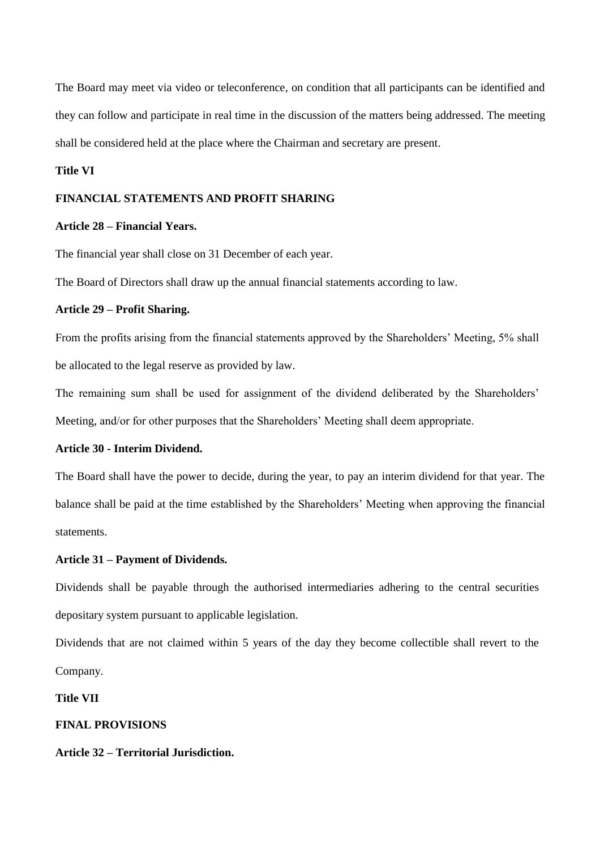The Board may meet via video or teleconference, on condition that all participants can be identified and they can follow and participate in real time in the discussion of the matters being addressed. The meeting shall be considered held at the place where the Chairman and secretary are present.

## **Title VI**

#### **FINANCIAL STATEMENTS AND PROFIT SHARING**

## **Article 28 – Financial Years.**

The financial year shall close on 31 December of each year.

The Board of Directors shall draw up the annual financial statements according to law.

## **Article 29 – Profit Sharing.**

From the profits arising from the financial statements approved by the Shareholders' Meeting, 5% shall be allocated to the legal reserve as provided by law.

The remaining sum shall be used for assignment of the dividend deliberated by the Shareholders' Meeting, and/or for other purposes that the Shareholders' Meeting shall deem appropriate.

## **Article 30 - Interim Dividend.**

The Board shall have the power to decide, during the year, to pay an interim dividend for that year. The balance shall be paid at the time established by the Shareholders' Meeting when approving the financial statements.

## **Article 31 – Payment of Dividends.**

Dividends shall be payable through the authorised intermediaries adhering to the central securities depositary system pursuant to applicable legislation.

Dividends that are not claimed within 5 years of the day they become collectible shall revert to the Company.

**Title VII**

#### **FINAL PROVISIONS**

## **Article 32 – Territorial Jurisdiction.**